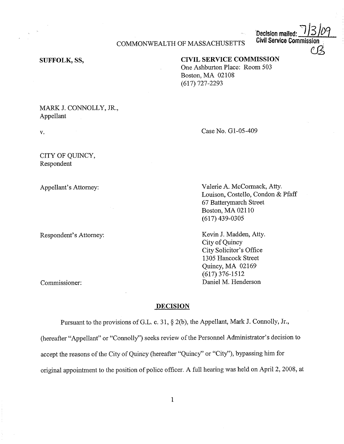**Decision mailed: 1 J 3 /09** 

**Civil Service Commission** 

 $C\!S$ 

#### COMMONWEALTH OF MASSACHUSETTS

### **SUFFOLK, SS,**

# **CIVIL SERVICE COMMISSION**

One Ashburton Place: Room 503 Boston, MA 02108 (617) 727-2293

MARK J. CONNOLLY, JR., Appellant

V.

CITY OF QUINCY, Respondent

Appellant's Attorney:

Respondent's Attorney:

Commissioner:

Case No. Gl-05-409

Valerie A. McCormack, Atty. Louison, Costello, Condon & Pfaff 67 Batterymarch Street Boston, MA 02110 (617) 439-0305

Kevin J. Madden, Atty. City of Quincy City Solicitor's Office 1305 Hancock Street Quincy, MA 02169 (617) 376-1512 Daniel M. Henderson

## **DECISION**

Pursuant to the provisions of G.L. c. 31, § 2(b), the Appellant, Mark J. Connolly, Jr., (hereafter "Appellant" or "Connolly") seeks review of the Personnel Administrator's decision to accept the reasons of the City of Quincy (hereafter "Quincy" or "City''), bypassing him for original appointment to the position of police officer. A full hearing was held on April 2, 2008, at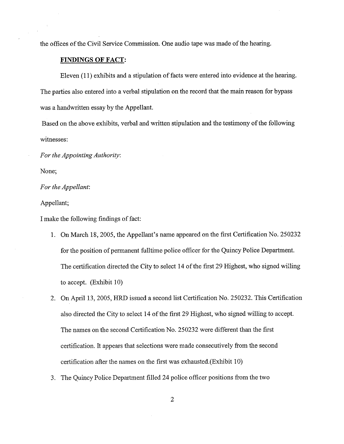the offices of the Civil Service Commission. One audio tape was made of the hearing.

## **FINDINGS OF FACT:**

Eleven (11) exhibits and a stipulation of facts were entered into evidence at the hearing. The parties also entered into a verbal stipulation on the record that the main reason for bypass was a handwritten essay by the Appellant.

Based on the above exhibits, verbal and written stipulation and the testimony of the following witnesses:

*For the Appointing Authority:* 

None;

*For the Appellant:* 

Appellant;

I make the following findings of fact:

- 1. On March 18, 2005, the Appellant's name appeared on the first Certification No. 250232 for the position of permanent fulltime police officer for the Quincy Police Department. The certification directed the City to select 14 of the first 29 Highest, who signed willing to accept. (Exhibit 10)
- 2. On April 13, 2005, HRD issued a second list Certification No. 250232. This Certification also directed the City to select 14 of the first 29 Highest, who signed willing to accept. The names on the second Certification No. 250232 were different than the first certification. It appears that selections were made consecutively from the second certification after the names on the first was exhausted.(Exhibit 10)
- 3. The Quincy Police Department filled 24 police officer positions from the two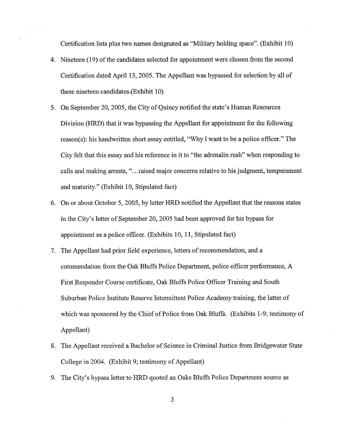Certification lists plus two names designated as "Military holding space". (Exhibit 10)

- 4. Nineteen (19) of the candidates selected for appointment were chosen from the second Certification dated April 13, 2005. The Appellant was bypassed for selection by all of these nineteen candidates.(Exhibit 10)
- 5. On September 20, 2005, the City of Quincy notified the state's Human Resources Division (HRD) that it was bypassing the Appellant for appointment for the following reason(s): his handwritten short essay entitled, "Why I want to be a police officer." The City felt that this essay and his reference in it to "the adrenalin rush" when responding to calls and making arrests, " ... raised major concerns relative to his judgment, temperament and maturity." (Exhibit 10, Stipulated fact)
- 6. On or about October 5, 2005, by letter HRD notified the Appellant that the reasons states in the City's letter of September 20, 2005 had been approved for his bypass for appointment as a police officer. (Exhibits 10, 11, Stipulated fact)
- 7. The Appellant had prior field experience, letters ofrecommendation, and a commendation from the Oak Bluffs Police Department, police officer performance, A First Responder Course certificate, Oak Bluffs Police Officer Training and South Suburban Police Institute Reserve Intermittent Police Academy training, the latter of which was sponsored by the Chief of Police from Oak Bluffs. (Exhibits 1-9; testimony of Appellant)
- 8. The Appellant received a Bachelor of Science in Criminal Justice from Bridgewater State College in 2004. (Exhibit 9; testimony of Appellant)
- 9. The City's bypass letter to HRD quoted an Oaks Bluffs Police Department source as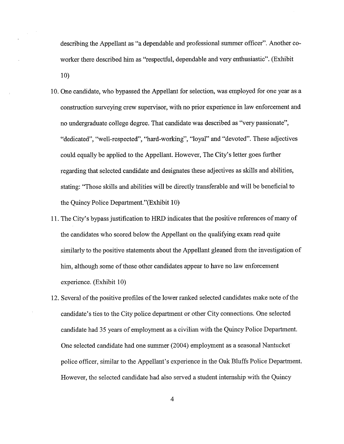describing the Appellant as "a dependable and professional summer officer". Another coworker there described him as "respectful, dependable and very enthusiastic". (Exhibit 10)

- 10. One candidate, who bypassed the Appellant for selection, was employed for one year as a construction surveying crew supervisor, with no prior experience in law enforcement and no undergraduate college degree. That candidate was described as "very passionate", "dedicated", "well-respected", "hard-working", "loyal" and "devoted". These adjectives could equally be applied to the Appellant. However, The City's letter goes further regarding that selected candidate and designates these adjectives as skills and abilities, stating: "Those skills and abilities will be directly transferable and will be beneficial to the Quincy Police Department."(Exhibit 10)
- 11. The City's bypass justification to HRD indicates that the positive references of many of the candidates who scored below the Appellant on the qualifying exam read quite similarly to the positive statements about the Appellant gleaned from the investigation of him, although some of these other candidates appear to have no law enforcement experience. (Exhibit 10)
- 12. Several of the positive profiles of the lower ranked selected candidates make note of the candidate's ties to the City police department or other City connections. One selected candidate had 35 years of employment as a civilian with the Quincy Police Department. One selected candidate had one summer (2004) employment as a seasonal Nantucket police officer, similar to the Appellant's experience in the Oak Bluffs Police Department. However, the selected candidate had also served a student internship with the Quincy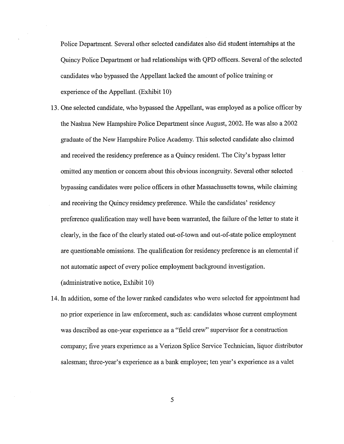Police Department. Several other selected candidates also did student internships at the Quincy Police Department or had relationships with QPD officers. Several of the selected candidates who bypassed the Appellant lacked the amount of police training or experience of the Appellant. (Exhibit 10)

- 13. One selected candidate, who bypassed the Appellant, was employed as a police officer by the Nashua New Hampshire Police Department since August, 2002. He was also a 2002 graduate of the New Hampshire Police Academy. This selected candidate also claimed and received the residency preference as a Quincy resident. The City's bypass letter omitted any mention or concern about this obvious incongruity. Several other selected bypassing candidates were police officers in other Massachusetts towns, while claiming and receiving the Quincy residency preference. While the candidates' residency preference qualification may well have been warranted, the failure of the letter to state it clearly, in the face of the clearly stated out-of-town and out-of-state police employment are questionable omissions. The qualification for residency preference is an elemental if not automatic aspect of every police employment background investigation. ( administrative notice, Exhibit 10)
- 14. In addition, some of the lower ranked candidates who were selected for appointment had no prior experience in law enforcement, such as: candidates whose current employment was described as one-year experience as a "field crew" supervisor for a construction company; five years experience as a Verizon Splice Service Technician, liquor distributor salesman; three-year's experience as a bank employee; ten year's experience as a valet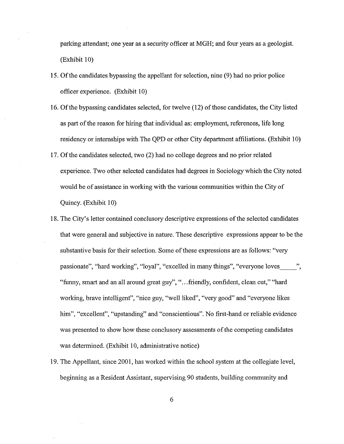parking attendant; one year as a security officer at MGH; and four years as a geologist. (Exhibit 10)

- 15. Of the candidates bypassing the appellant for selection, nine (9) had no prior police officer experience. (Exhibit 10)
- 16. Of the bypassing candidates selected, for twelve (12) of those candidates, the City listed as part of the reason for hiring that individual as: employment, references, life long residency or internships with The QPD or other City department affiliations. (Exhibit 10)
- 17. Of the candidates selected, two (2) had no college degrees and no prior related experience. Two other selected candidates had degrees in Sociology which the City noted would be of assistance in working with the various communities within the City of Quincy. (Exhibit 10)
- 18. The City's letter contained conclusory descriptive expressions of the selected candidates that were general and subjective in nature. These descriptive expressions appear to be the substantive basis for their selection. Some of these expressions are as follows: "very passionate", "hard working", "loyal", "excelled in many things", "everyone loves \_\_ ", "funny, smart and an all around great guy", " ... friendly, confident, clean cut," "hard working, brave intelligent", "nice guy, "well liked", "very good" and "everyone likes him", "excellent", "upstanding" and "conscientious". No first-hand or reliable evidence was presented to show how these conclusory assessments of the competing candidates was determined. (Exhibit 10, administrative notice)
- 19. The Appellant, since 2001, has worked within the school system at the collegiate level, beginning as a Resident Assistant, supervising 90 students, building community and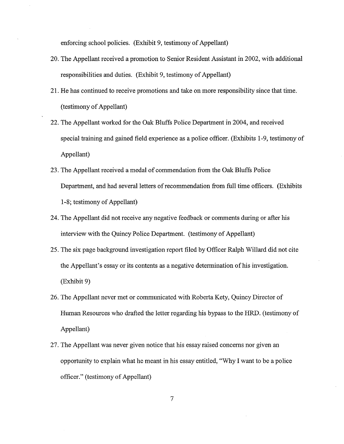enforcing school policies. (Exhibit 9, testimony of Appellant)

- 20. The Appellant received a promotion to Senior Resident Assistant in 2002, with additional responsibilities and duties. (Exhibit 9, testimony of Appellant)
- 21. He has continued to receive promotions and take on more responsibility since that time. (testimony of Appellant)
- 22. The Appellant worked for the Oak Bluffs Police Department in 2004, and received special training and gained field experience as a police officer. (Exhibits 1-9, testimony of Appellant)
- 23. The Appellant received a medal of commendation from the Oak Bluffs Police Department, and had several letters of recommendation from full time officers. (Exhibits 1-8; testimony of Appellant)
- 24. The Appellant did not receive any negative feedback or comments during or after his interview with the Quincy Police Department. (testimony of Appellant)
- 25. The six page background investigation report filed by Officer Ralph Willard did not cite the Appellant's essay or its contents as a negative determination of his investigation. (Exhibit 9)
- 26. The Appellant never met or communicated with Roberta Kety, Quincy Director of Human Resources who drafted the letter regarding his bypass to the HRD. (testimony of Appellant)
- 27. The Appellant was never given notice that his essay raised concerns nor given an opportunity to explain what he meant in his essay entitled, "Why I want to be a police officer." (testimony of Appellant)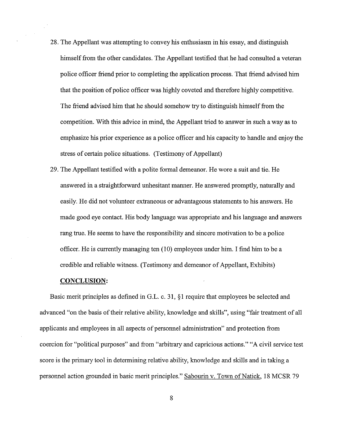- 28. The Appellant was attempting to convey his enthusiasm in his essay, and distinguish himself from the other candidates. The Appellant testified that he had consulted a veteran police officer friend prior to completing the application process. That friend advised him that the position of police officer was highly coveted and therefore highly competitive. The friend advised him that he should somehow try to distinguish himself from the competition. With this advice in mind, the Appellant tried to answer in such a way as to emphasize his prior experience as a police officer and his capacity to handle and enjoy the stress of certain police situations. (Testimony of Appellant)
- 29. The Appellant testified with a polite formal demeanor. He wore a suit and tie. He answered in a straightforward unhesitant manner. He answered promptly, naturally and easily. He did not volunteer extraneous or advantageous statements to his answers. He made good eye contact. His body language was appropriate and his language and answers rang true. He seems to have the responsibility and sincere motivation to be a police officer. He is currently managing ten  $(10)$  employees under him. I find him to be a credible and reliable witness. (Testimony and demeanor of Appellant, Exhibits)

### **CONCLUSION:**

Basic merit principles as defined in G.L. c. 31, §1 require that employees be selected and advanced "on the basis of their relative ability, knowledge and skills", using "fair treatment of all applicants and employees in all aspects of personnel administration" and protection from coercion for "political purposes" and from "arbitrary and capricious actions." "A civil service test score is the primary tool in determining relative ability, knowledge and skills and in taking a personnel action grounded in basic merit principles." Sabourin v. Town of Natick, 18 MCSR 79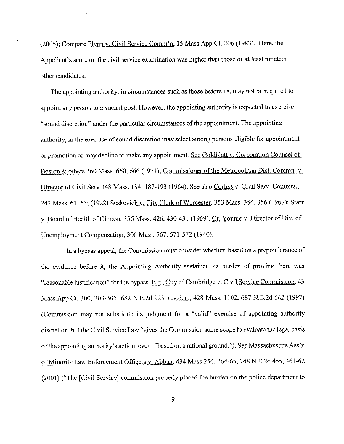(2005); Compare Flynn v. Civil Service Comm'n, 15 Mass.App.Ct. 206 (1983). Here, the Appellant's score on the civil service examination was higher than those of at least nineteen other candidates.

The appointing authority, in circumstances such as those before us, may not be required to appoint any person to a vacant post. However, the appointing authority is expected to exercise "sound discretion" under the particular circumstances of the appointment. The appointing authority, in the exercise of sound discretion may select among persons eligible for appointment or promotion or may decline to make any appointment. See Goldblatt v. Corporation Counsel of Boston & others 360 Mass. 660, 666 (1971); Commissioner of the Metropolitan Dist. Commn. v. Director of Civil Serv.348 Mass. 184, 187-193 (1964). See also Corliss v. Civil Serv. Commrs., 242 Mass. 61, 65; (1922) Seskevich v. City Clerk of Worcester, 353 Mass. 354,356 (1967); Starr v. Board of Health of Clinton, 356 Mass. 426, 430-431 (1969). Cf. Younie v. Director of Div. of Unemployment Compensation, 306 Mass. 567, 571-572 (1940).

In a bypass appeal, the Commission must consider whether, based on a preponderance of the evidence before it, the Appointing Authority sustained its burden of proving there was "reasonable justification" for the bypass. E.g., City of Cambridge v. Civil Service Commission, 43 Mass.App.Ct. 300, 303-305, 682 N.E.2d 923, rev.den., 428 Mass. 1102, 687 N.E.2d 642 (1997) (Commission may not substitute its judgment for a "valid" exercise of appointing authority discretion, but the Civil Service Law "gives the Commission some scope to evaluate the legal basis of the appointing authority's action, even if based on a rational ground."). See Massachusetts Ass'n of Minority Law Enforcement Officers v. Abban, 434 Mass 256, 264-65, 748 N.E.2d 455, 461-62 (2001) ("The [Civil Service] commission properly placed the burden on the police department to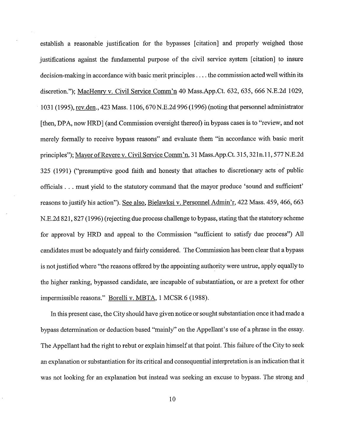establish a reasonable justification for the bypasses [citation] and properly weighed those justifications against the fundamental purpose of the civil service system [citation] to insure decision-making in accordance with basic merit principles .... the commission acted well within its discretion."); MacHenry v. Civil Service Comm'n 40 Mass.App.Ct. 632, 635, 666 N.E.2d 1029, 1031 (1995), rev.den., 423 Mass. 1106, 670 N.E.2d 996 (1996) (noting that personnel administrator [then, DPA, now HRD] (and Commission oversight thereof) in bypass cases is to "review, and not merely formally to receive bypass reasons" and evaluate them "in accordance with basic merit principles"); Mayor of Revere v. Civil Service Comm'n, 31 Mass.App.Ct. 315, 321n.11, 577 N.E.2d 325 (1991) ("presumptive good faith and honesty that attaches to discretionary acts of public officials ... must yield to the statutory command that the mayor produce 'sound and sufficient' reasons to justify his action"). See also, Bielawksi v. Personnel Admin'r, 422 Mass. 459,466, 663 N.E.2d 821, 827 (1996) (rejecting due process challenge to bypass, stating that the statutory scheme for approval by HRD and appeal to the Commission "sufficient to satisfy due process") All candidates must be adequately and fairly considered. The Commission has been clear that a bypass is not justified where "the reasons offered by the appointing authority were untrue, apply equally to the higher ranking, bypassed candidate, are incapable of substantiation, or are a pretext for other impermissible reasons." Borelli v. MBTA, I MCSR 6 (1988).

In this present case, the City should have given notice or sought substantiation once it had made a bypass determination or deduction based "mainly" on the Appellant's use of a phrase in the essay. The Appellant had the right to rebut or explain himself at that point. This failure of the City to seek an explanation or substantiation for its critical and consequential interpretation is an indication that it was not looking for an explanation but instead was seeking an excuse to bypass. The strong and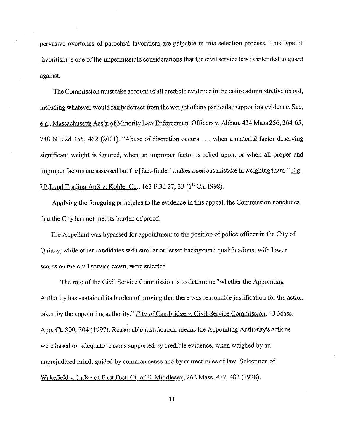pervasive overtones of parochial favoritism are palpable in this selection process. This type of favoritism is one of the impermissible considerations that the civil service law is intended to guard against.

The Commission must take account of all credible evidence in the entire administrative record, including whatever would fairly detract from the weight of any particular supporting evidence. See, e.g., Massachusetts Ass'n of Minority Law Enforcement Officers v. Abban, 434 Mass 256, 264-65, 748 N.E.2d 455, 462 (2001). "Abuse of discretion occurs ... when a material factor deserving significant weight is ignored, when an improper factor is relied upon, or when all proper and improper factors are assessed but the [fact-finder] makes a serious mistake in weighing them."  $E.g.,$ LP.Lund Trading ApS v. Kohler Co., 163 F.3d 27, 33  $(1^{\text{st}}$  Cir.1998).

Applying the foregoing principles to the evidence in this appeal, the Commission concludes that the City has not met its burden of proof.

The Appellant was bypassed for appointment to the position of police officer in the City of Quincy, while other candidates with similar or lesser background qualifications, with lower scores on the civil service exam, were selected.

The role of the Civil Service Commission is to determine "whether the Appointing Authority has sustained its burden of proving that there was reasonable justification for the action taken by the appointing authority." City of Cambridge *v.* Civil Service Commission, 43 Mass. App. Ct. 300, 304 (1997). Reasonable justification means the Appointing Authority's actions were based on adequate reasons supported by credible evidence, when weighed by an unprejudiced mind, guided by common sense and by correct rules of law. Selectmen of Wakefield *v.* Judge of First Dist. Ct. of E. Middlesex, 262 Mass. 477, 482 (1928).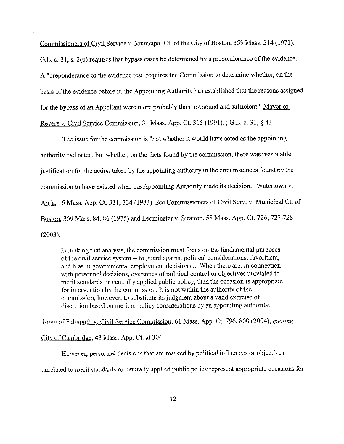Commissioners of Civil Service *v.* Municipal Ct. of the City of Boston, 359 Mass. 214 (1971).

G.L. c. 31, s. 2(b) requires that bypass cases be determined by a preponderance of the evidence. A "preponderance of the evidence test requires the Commission to determine whether, on the basis of the evidence before it, the Appointing Authority has established that the reasons assigned for the bypass of an Appellant were more probably than not sound and sufficient." Mayor of Revere *v.* Civil Service Commission, 31 Mass. App. Ct. 315 (1991).; G.L. c. 31, § 43.

The issue for the commission is "not whether it would have acted as the appointing authority had acted, but whether, on the facts found by the commission, there was reasonable justification for the action taken by the appointing authority in the circumstances found by the commission to have existed when the Appointing Authority made its decision." Watertown v. Arria, 16 Mass. App. Ct. 331,334 (1983). *See* Commissioners of Civil Serv. v. Municipal Ct. of Boston, 369 Mass. 84, 86 (1975) and Leominster v. Stratton, 58 Mass. App. Ct. 726, 727-728 (2003).

In making that analysis, the commission must focus on the fundamental purposes of the civil service system -- to guard against political considerations, favoritism, and bias in govermnental employment decisions .... When there are, in connection with personnel decisions, overtones of political control or objectives unrelated to merit standards or neutrally applied public policy, then the occasion is appropriate for intervention by the commission. It is not within the authority of the commission, however, to substitute its judgment about a valid exercise of discretion based on merit or policy considerations by an appointing authority.

Town of Falmouth v. Civil Service Commission, 61 Mass. App. Ct. 796,800 (2004), *quoting* 

City of Cambridge, 43 Mass. App. Ct. at 304.

However, personnel decisions that are marked by political influences or objectives unrelated to merit standards or neutrally applied public policy represent appropriate occasions for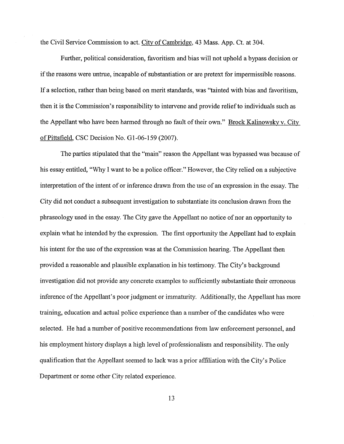the Civil Service Commission to act. City of Cambridge, 43 Mass. App. Ct. at 304.

Further, political consideration, favoritism and bias will not uphold a bypass decision or if the reasons were untrue, incapable of substantiation or are pretext for impermissible reasons. If a selection, rather than being based on merit standards, was "tainted with bias and favoritism, then it is the Commission's responsibility to intervene and provide relief to individuals such as the Appellant who have been harmed through no fault of their own." Brock Kalinowsky v. City of Pittsfield, CSC Decision No. Gl-06-159 (2007).

The parties stipulated that the "main" reason the Appellant was bypassed was because of his essay entitled, "Why I want to be a police officer." However, the City relied on a subjective interpretation of the intent of or inference drawn from the use of an expression in the essay. The City did not conduct a subsequent investigation to substantiate its conclusion drawn from the phraseology used in the essay. The City gave the Appellant no notice of nor an opportunity to explain what he intended by the expression. The first opportunity the Appellant had to explain his intent for the use of the expression was at the Commission hearing. The Appellant then provided a reasonable and plausible explanation in his testimony. The City's background investigation did not provide any concrete examples to sufficiently substantiate their erroneous inference of the Appellant's poor judgment or immaturity. Additionally, the Appellant has more training, education and actual police experience than a number of the candidates who were selected. He had a number of positive recommendations from law enforcement personnel, and his employment history displays a high level of professionalism and responsibility. The only qualification that the Appellant seemed to lack was a prior affiliation with the City's Police Department or some other City related experience.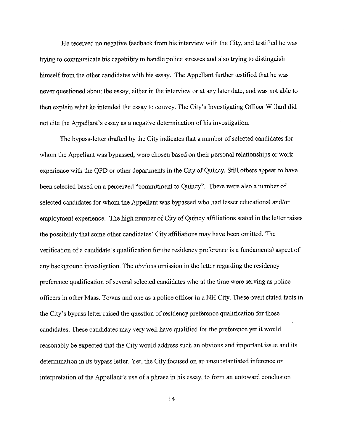He received no negative feedback from his interview with the City, and testified he was trying to communicate his capability to handle police stresses and also trying to distinguish himself from the other candidates with his essay. The Appellant further testified that he was never questioned about the essay, either in the interview or at any later date, and was not able to then explain what he intended the essay to convey. The City's Investigating Officer Willard did not cite the Appellant's essay as a negative determination of his investigation.

The bypass-letter drafted by the City indicates that a number of selected candidates for whom the Appellant was bypassed, were chosen based on their personal relationships or work experience with the QPD or other departments in the City of Quincy. Still others appear to have been selected based on a perceived "commitment to Quincy". There were also a number of selected candidates for whom the Appellant was bypassed who had lesser educational and/or employment experience. The high number of City of Quincy affiliations stated in the letter raises the possibility that some other candidates' City affiliations may have been omitted. The verification of a candidate's qualification for the residency preference is a fundamental aspect of any background investigation. The obvious omission in the letter regarding the residency preference qualification of several selected candidates who at the time were serving as police officers in other Mass. Towns and one as a police officer in a NH City. These overt stated facts in the City's bypass letter raised the question of residency preference qualification for those candidates. These candidates may very well have qualified for the preference yet it would reasonably be expected that the City would address such an obvious and important issue and its determination in its bypass letter. Yet, the City focused on an unsubstantiated inference or interpretation of the Appellant's use of a phrase in his essay, to form an untoward conclusion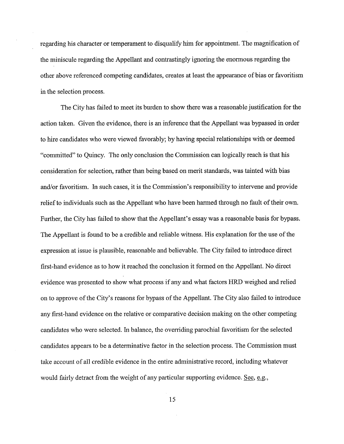regarding his character or temperament to disqualify him for appointment. The magnification of the miniscule regarding the Appellant and contrastingly ignoring the enormous regarding the other above referenced competing candidates, creates at least the appearance of bias or favoritism in the selection process.

The City has failed to meet its burden to show there was a reasonable justification for the action taken. Given the evidence, there is an inference that the Appellant was bypassed in order to hire candidates who were viewed favorably; by having special relationships with or deemed "committed" to Quincy. The only conclusion the Commission can logically reach is that his consideration for selection, rather than being based on merit standards, was tainted with bias and/or favoritism. In such cases, it is the Commission's responsibility to intervene and provide relief to individuals such as the Appellant who have been harmed through no fault of their own. Further, the City has failed to show that the Appellant's essay was a reasonable basis for bypass. The Appellant is found to be a credible and reliable witness. His explanation for the use of the expression at issue is plausible, reasonable and believable. The City failed to introduce direct first-hand evidence as to how it reached the conclusion it formed on the Appellant. No direct evidence was presented to show what process if any and what factors HRD weighed and relied on to approve of the City's reasons for bypass of the Appellant. The City also failed to introduce any first-hand evidence on the relative or comparative decision making on the other competing candidates who were selected. In balance, the overriding parochial favoritism for the selected candidates appears to be a determinative factor in the selection process. The Commission must take account of all credible evidence in the entire administrative record, including whatever would fairly detract from the weight of any particular supporting evidence. See, e.g.,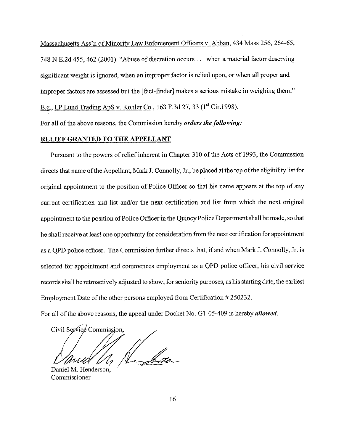Massachusetts Ass'n of Minority Law Enforcement Officers v. Abban, 434 Mass 256, 264-65, 748 N.E.2d 455, 462 (2001 ). "Abuse of discretion occurs ... when a material factor deserving significant weight is ignored, when an improper factor is relied upon, or when all proper and improper factors are assessed but the [fact-finder] makes a serious mistake in weighing them." E.g., I.P. Lund Trading ApS v. Kohler Co., 163 F.3d 27, 33 (1<sup>st</sup> Cir. 1998).

For all of the above reasons, the Commission hereby *orders the following:* 

#### **RELIEF GRANTED TO THE APPELLANT**

Pursuant to the powers of relief inherent in Chapter 310 of the Acts of 1993, the Commission directs that name of the Appellant, Mark J. Connolly, Jr., be placed at the top of the eligibility list for original appointment to the position of Police Officer so that his name appears at the top of any current certification and list and/or the next certification and list from which the next original appointment to the position of Police Officer in the Quincy Police Department shall be made, so that he shall receive at least one opportunity for consideration from the next certification for appointment as a QPD police officer. The Commission further directs that, if and when Mark J. Connolly, Jr. is selected for appointment and commences employment as a QPD police officer, his civil service records shall be retroactively adjusted to show, for seniority purposes, as his starting date, the earliest Employment Date of the other persons employed from Certification # 250232.

For all of the above reasons, the appeal under Docket No. G1-05-409 is hereby *allowed*.

,,.-·. l Civil Service Commission. (La Lotter

Daniel M. Henderson, Commissioner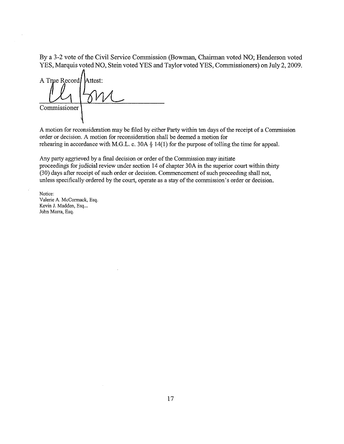By a 3-2 vote of the Civil Service Commission (Bowman, Chairman voted NO; Henderson voted YES, Marquis voted NO, Stein voted YES and Taylor voted YES, Commissioners) on July 2, 2009.

A True Record Attest: Commissioner

A motion for reconsideration may be filed by either Party within ten days of the receipt of a Commission order or decision. A motion for reconsideration shall be deemed a motion for rehearing in accordance with M.G.L. c. 30A § 14(1) for the purpose of tolling the time for appeal.

Any party aggrieved by a final decision or order of the Commission may initiate proceedings for judicial review under section 14 of chapter 30A in the superior court within thirty (30) days after receipt of such order or decision. Commencement of such proceeding shall not, unless specifically ordered by the court, operate as a stay of the commission's order or decision.

**Notice:**  Valerie A. McCormack, Esq. Kevin J. Madden, Esq... John Marra, Esq.